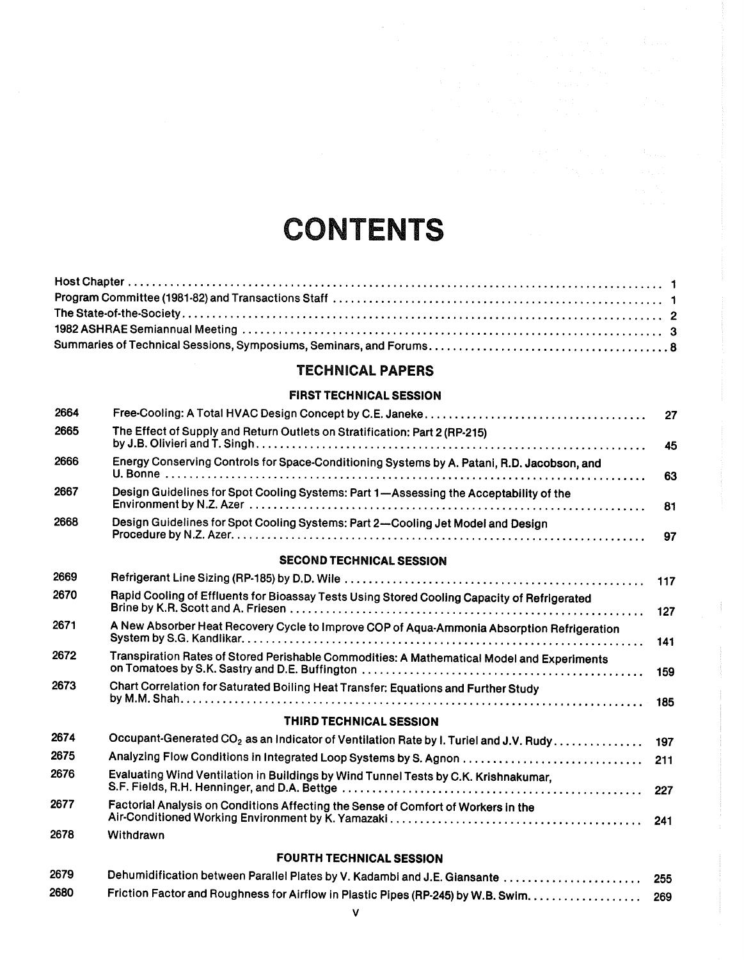# CONTENTS

### TECHNICAL PAPERS

#### FIRST TECHNICAL SESSION

| 2664 |                                                                                                   | 27  |
|------|---------------------------------------------------------------------------------------------------|-----|
| 2665 | The Effect of Supply and Return Outlets on Stratification: Part 2 (RP-215)                        | 45  |
| 2666 | Energy Conserving Controls for Space-Conditioning Systems by A. Patani, R.D. Jacobson, and        | 63  |
| 2667 | Design Guidelines for Spot Cooling Systems: Part 1-Assessing the Acceptability of the             | 81  |
| 2668 | Design Guidelines for Spot Cooling Systems: Part 2-Cooling Jet Model and Design                   | 97  |
|      | <b>SECOND TECHNICAL SESSION</b>                                                                   |     |
| 2669 |                                                                                                   | 117 |
| 2670 | Rapid Cooling of Effluents for Bioassay Tests Using Stored Cooling Capacity of Refrigerated       | 127 |
| 2671 | A New Absorber Heat Recovery Cycle to Improve COP of Aqua-Ammonia Absorption Refrigeration        | 141 |
| 2672 | Transpiration Rates of Stored Perishable Commodities: A Mathematical Model and Experiments        | 159 |
| 2673 | Chart Correlation for Saturated Boiling Heat Transfer: Equations and Further Study                | 185 |
|      | <b>THIRD TECHNICAL SESSION</b>                                                                    |     |
| 2674 | Occupant-Generated CO <sub>2</sub> as an Indicator of Ventilation Rate by I. Turiel and J.V. Rudy | 197 |
| 2675 | Analyzing Flow Conditions in Integrated Loop Systems by S. Agnon                                  | 211 |
| 2676 | Evaluating Wind Ventilation in Buildings by Wind Tunnel Tests by C.K. Krishnakumar,               | 227 |
| 2677 | Factorial Analysis on Conditions Affecting the Sense of Comfort of Workers in the                 | 241 |
| 2678 | Withdrawn                                                                                         |     |
|      | <b>FOURTH TECHNICAL SESSION</b>                                                                   |     |
| 2679 | Dehumidification between Parallel Plates by V. Kadambi and J.E. Giansante                         | 255 |
| 2680 | Friction Factor and Roughness for Airflow in Plastic Pipes (RP-245) by W.B. Swim.                 | 269 |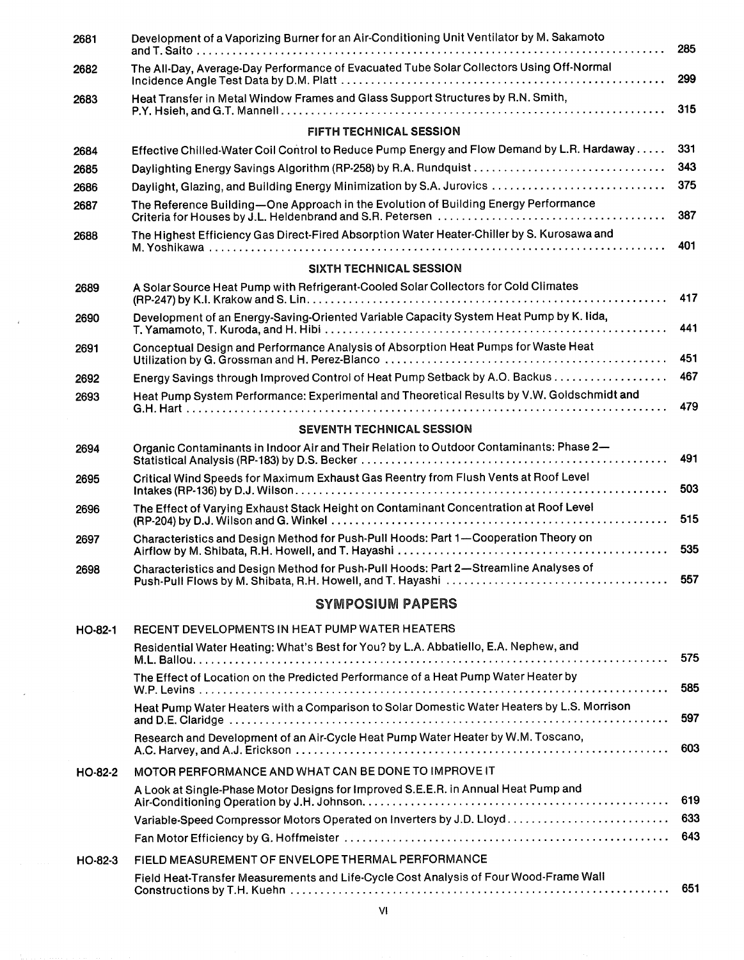| 2681      | Development of a Vaporizing Burner for an Air-Conditioning Unit Ventilator by M. Sakamoto   | 285 |
|-----------|---------------------------------------------------------------------------------------------|-----|
| 2682      | The All-Day, Average-Day Performance of Evacuated Tube Solar Collectors Using Off-Normal    | 299 |
| 2683      | Heat Transfer in Metal Window Frames and Glass Support Structures by R.N. Smith,            | 315 |
|           | FIFTH TECHNICAL SESSION                                                                     |     |
| 2684      | Effective Chilled-Water Coil Control to Reduce Pump Energy and Flow Demand by L.R. Hardaway | 331 |
| 2685      |                                                                                             | 343 |
| 2686      | Daylight, Glazing, and Building Energy Minimization by S.A. Jurovics                        | 375 |
| 2687      | The Reference Building-One Approach in the Evolution of Building Energy Performance         | 387 |
| 2688      | The Highest Efficiency Gas Direct-Fired Absorption Water Heater-Chiller by S. Kurosawa and  | 401 |
|           | SIXTH TECHNICAL SESSION                                                                     |     |
| 2689      | A Solar Source Heat Pump with Refrigerant-Cooled Solar Collectors for Cold Climates         | 417 |
| 2690      | Development of an Energy-Saving-Oriented Variable Capacity System Heat Pump by K. Iida,     | 441 |
| 2691      | Conceptual Design and Performance Analysis of Absorption Heat Pumps for Waste Heat          | 451 |
| 2692      | Energy Savings through Improved Control of Heat Pump Setback by A.O. Backus                 | 467 |
| 2693      | Heat Pump System Performance: Experimental and Theoretical Results by V.W. Goldschmidt and  | 479 |
|           | <b>SEVENTH TECHNICAL SESSION</b>                                                            |     |
| 2694      | Organic Contaminants in Indoor Air and Their Relation to Outdoor Contaminants: Phase 2-     | 491 |
| 2695      | Critical Wind Speeds for Maximum Exhaust Gas Reentry from Flush Vents at Roof Level         | 503 |
| 2696      | The Effect of Varying Exhaust Stack Height on Contaminant Concentration at Roof Level       | 515 |
| 2697      | Characteristics and Design Method for Push-Pull Hoods: Part 1-Cooperation Theory on         | 535 |
| 2698      | Characteristics and Design Method for Push-Pull Hoods: Part 2-Streamline Analyses of        |     |
|           | <b>SYMPOSIUM PAPERS</b>                                                                     |     |
| HO-82-1   | RECENT DEVELOPMENTS IN HEAT PUMP WATER HEATERS                                              |     |
|           | Residential Water Heating: What's Best for You? by L.A. Abbatiello, E.A. Nephew, and        | 575 |
|           | The Effect of Location on the Predicted Performance of a Heat Pump Water Heater by          | 585 |
|           | Heat Pump Water Heaters with a Comparison to Solar Domestic Water Heaters by L.S. Morrison  | 597 |
|           | Research and Development of an Air-Cycle Heat Pump Water Heater by W.M. Toscano,            | 603 |
| HO-82-2   | MOTOR PERFORMANCE AND WHAT CAN BE DONE TO IMPROVE IT                                        |     |
|           | A Look at Single-Phase Motor Designs for Improved S.E.E.R. in Annual Heat Pump and          | 619 |
|           | Variable-Speed Compressor Motors Operated on Inverters by J.D. Lloyd                        | 633 |
|           |                                                                                             | 643 |
| $HO-82-3$ | FIELD MEASUREMENT OF ENVELOPE THERMAL PERFORMANCE                                           |     |
|           | Field Heat-Transfer Measurements and Life-Cycle Cost Analysis of Four Wood-Frame Wall       |     |

 $\hat{\boldsymbol{\epsilon}}$ 

 $\sim$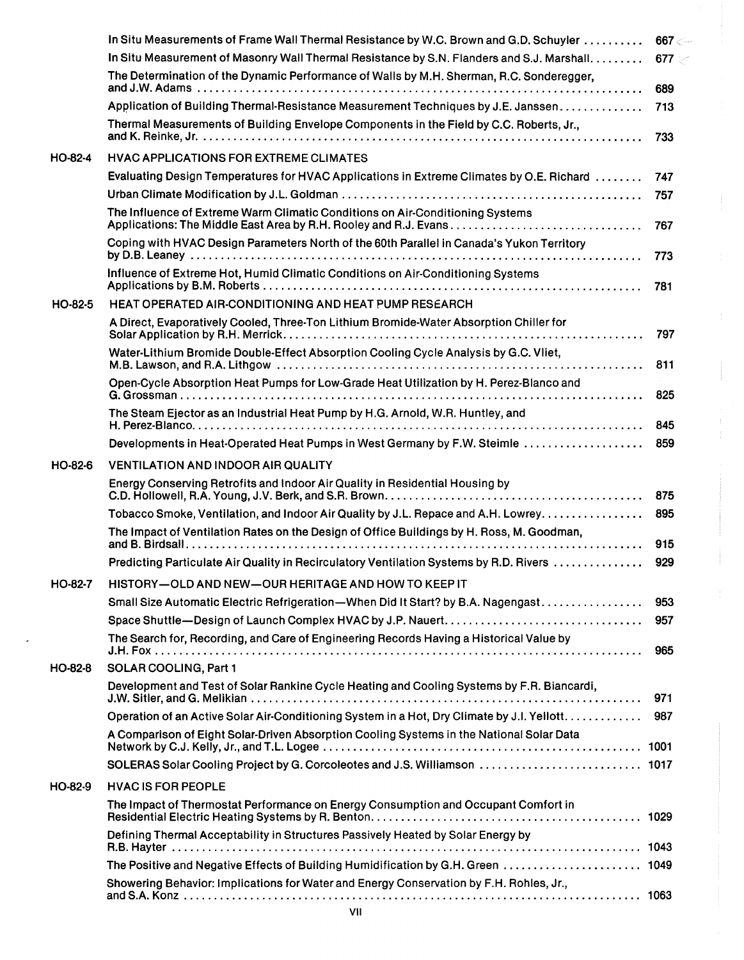|                | In Situ Measurements of Frame Wall Thermal Resistance by W.C. Brown and G.D. Schuyler       | 667 < |
|----------------|---------------------------------------------------------------------------------------------|-------|
|                | In Situ Measurement of Masonry Wall Thermal Resistance by S.N. Flanders and S.J. Marshall.  | 677   |
|                | The Determination of the Dynamic Performance of Walls by M.H. Sherman, R.C. Sonderegger,    | 689   |
|                | Application of Building Thermal-Resistance Measurement Techniques by J.E. Janssen           | 713   |
|                | Thermal Measurements of Building Envelope Components in the Field by C.C. Roberts, Jr.,     | 733   |
| HO-82-4        | <b>HVAC APPLICATIONS FOR EXTREME CLIMATES</b>                                               |       |
|                | Evaluating Design Temperatures for HVAC Applications in Extreme Climates by O.E. Richard    | 747   |
|                |                                                                                             | 757   |
|                | The Influence of Extreme Warm Climatic Conditions on Air-Conditioning Systems               |       |
|                |                                                                                             | 767   |
|                | Coping with HVAC Design Parameters North of the 60th Parallel in Canada's Yukon Territory   | 773   |
|                | Influence of Extreme Hot, Humid Climatic Conditions on Air-Conditioning Systems             | 781   |
| $HO-82-5$      | <b>HEAT OPERATED AIR-CONDITIONING AND HEAT PUMP RESEARCH</b>                                |       |
|                | A Direct, Evaporatively Cooled, Three-Ton Lithium Bromide-Water Absorption Chiller for      | 797   |
|                | Water-Lithium Bromide Double-Effect Absorption Cooling Cycle Analysis by G.C. Vliet,        | 811   |
|                | Open-Cycle Absorption Heat Pumps for Low-Grade Heat Utilization by H. Perez-Blanco and      |       |
|                |                                                                                             | 825   |
|                | The Steam Ejector as an Industrial Heat Pump by H.G. Arnold, W.R. Huntley, and              | 845   |
|                | Developments in Heat-Operated Heat Pumps in West Germany by F.W. Steimle                    | 859   |
| HO-82-6        | <b>VENTILATION AND INDOOR AIR QUALITY</b>                                                   |       |
|                | Energy Conserving Retrofits and Indoor Air Quality in Residential Housing by                | 875   |
|                | Tobacco Smoke, Ventilation, and Indoor Air Quality by J.L. Repace and A.H. Lowrey.          | 895   |
|                | The Impact of Ventilation Rates on the Design of Office Buildings by H. Ross, M. Goodman,   | 915   |
|                |                                                                                             | 929   |
|                | Predicting Particulate Air Quality in Recirculatory Ventilation Systems by R.D. Rivers      |       |
| <b>HO-82-7</b> | HISTORY-OLD AND NEW-OUR HERITAGE AND HOW TO KEEP IT                                         |       |
|                | Small Size Automatic Electric Refrigeration—When Did It Start? by B.A. Nagengast            | 953   |
|                |                                                                                             | 957   |
|                | The Search for, Recording, and Care of Engineering Records Having a Historical Value by     | 965   |
| HO-82-8        | SOLAR COOLING, Part 1                                                                       |       |
|                | Development and Test of Solar Rankine Cycle Heating and Cooling Systems by F.R. Biancardi,  | 971   |
|                | Operation of an Active Solar Air-Conditioning System in a Hot, Dry Climate by J.I. Yellott. | 987   |
|                | A Comparison of Eight Solar-Driven Absorption Cooling Systems in the National Solar Data    |       |
|                | SOLERAS Solar Cooling Project by G. Corcoleotes and J.S. Williamson  1017                   |       |
| HO-82-9        | <b>HVAC IS FOR PEOPLE</b>                                                                   |       |
|                | The Impact of Thermostat Performance on Energy Consumption and Occupant Comfort in          |       |
|                | Defining Thermal Acceptability in Structures Passively Heated by Solar Energy by            |       |
|                | The Positive and Negative Effects of Building Humidification by G.H. Green  1049            |       |
|                | Showering Behavior: Implications for Water and Energy Conservation by F.H. Rohles, Jr.,     |       |
|                |                                                                                             |       |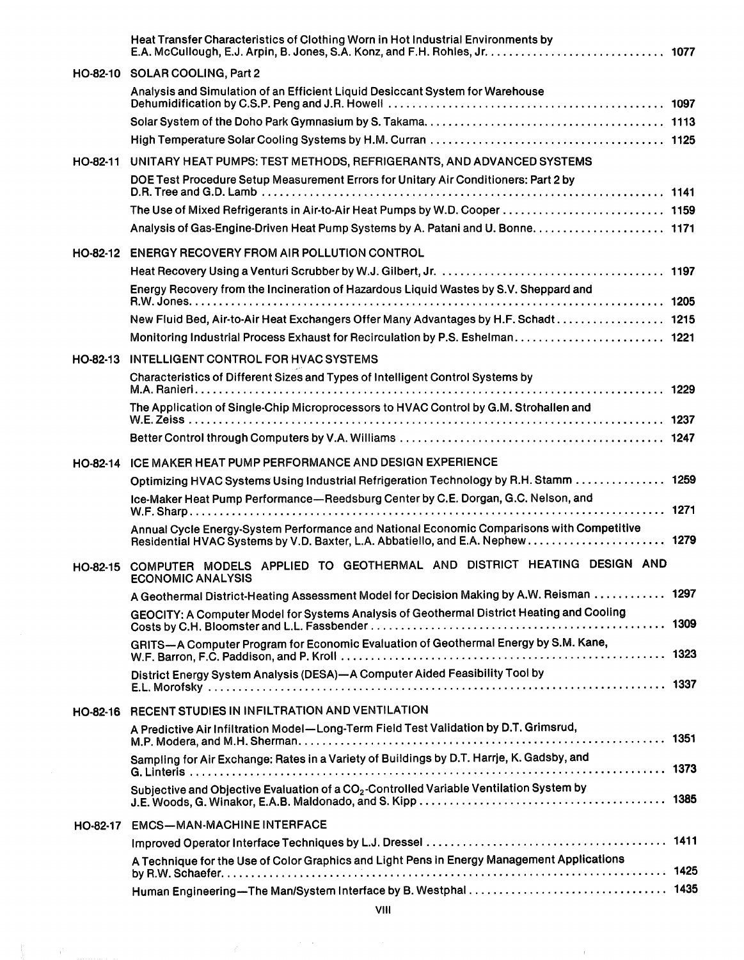|          | Heat Transfer Characteristics of Clothing Worn in Hot Industrial Environments by                           |  |
|----------|------------------------------------------------------------------------------------------------------------|--|
|          | HO-82-10 SOLAR COOLING, Part 2                                                                             |  |
|          | Analysis and Simulation of an Efficient Liquid Desiccant System for Warehouse                              |  |
|          |                                                                                                            |  |
|          |                                                                                                            |  |
| HO-82-11 | UNITARY HEAT PUMPS: TEST METHODS, REFRIGERANTS, AND ADVANCED SYSTEMS                                       |  |
|          | DOE Test Procedure Setup Measurement Errors for Unitary Air Conditioners: Part 2 by                        |  |
|          |                                                                                                            |  |
|          | Analysis of Gas-Engine-Driven Heat Pump Systems by A. Patani and U. Bonne. 1171                            |  |
|          | HO-82-12 ENERGY RECOVERY FROM AIR POLLUTION CONTROL                                                        |  |
|          |                                                                                                            |  |
|          | Energy Recovery from the Incineration of Hazardous Liquid Wastes by S.V. Sheppard and                      |  |
|          | New Fluid Bed, Air-to-Air Heat Exchangers Offer Many Advantages by H.F. Schadt 1215                        |  |
|          | Monitoring Industrial Process Exhaust for Recirculation by P.S. Eshelman 1221                              |  |
|          | HO-82-13 INTELLIGENT CONTROL FOR HVAC SYSTEMS                                                              |  |
|          | Characteristics of Different Sizes and Types of Intelligent Control Systems by                             |  |
|          | The Application of Single-Chip Microprocessors to HVAC Control by G.M. Strohallen and                      |  |
|          |                                                                                                            |  |
|          | HO-82-14 ICE MAKER HEAT PUMP PERFORMANCE AND DESIGN EXPERIENCE                                             |  |
|          | Optimizing HVAC Systems Using Industrial Refrigeration Technology by R.H. Stamm 1259                       |  |
|          | Ice-Maker Heat Pump Performance-Reedsburg Center by C.E. Dorgan, G.C. Nelson, and                          |  |
|          |                                                                                                            |  |
|          | Annual Cycle Energy-System Performance and National Economic Comparisons with Competitive                  |  |
|          | HO-82-15 COMPUTER MODELS APPLIED TO GEOTHERMAL AND DISTRICT HEATING DESIGN AND<br><b>ECONOMIC ANALYSIS</b> |  |
|          | A Geothermal District-Heating Assessment Model for Decision Making by A.W. Reisman  1297                   |  |
|          | GEOCITY: A Computer Model for Systems Analysis of Geothermal District Heating and Cooling                  |  |
|          | GRITS-A Computer Program for Economic Evaluation of Geothermal Energy by S.M. Kane,                        |  |
|          | District Energy System Analysis (DESA)-A Computer Aided Feasibility Tool by                                |  |
|          | HO-82-16 RECENT STUDIES IN INFILTRATION AND VENTILATION                                                    |  |
|          | A Predictive Air Infiltration Model-Long-Term Field Test Validation by D.T. Grimsrud,                      |  |
|          | Sampling for Air Exchange: Rates in a Variety of Buildings by D.T. Harrje, K. Gadsby, and                  |  |
|          | Subjective and Objective Evaluation of a CO <sub>2</sub> -Controlled Variable Ventilation System by        |  |
| HO-82-17 | <b>EMCS-MAN-MACHINE INTERFACE</b>                                                                          |  |
|          |                                                                                                            |  |
|          | A Technique for the Use of Color Graphics and Light Pens in Energy Management Applications                 |  |
|          |                                                                                                            |  |
|          |                                                                                                            |  |

 $\langle$ 

 $\rightarrow$